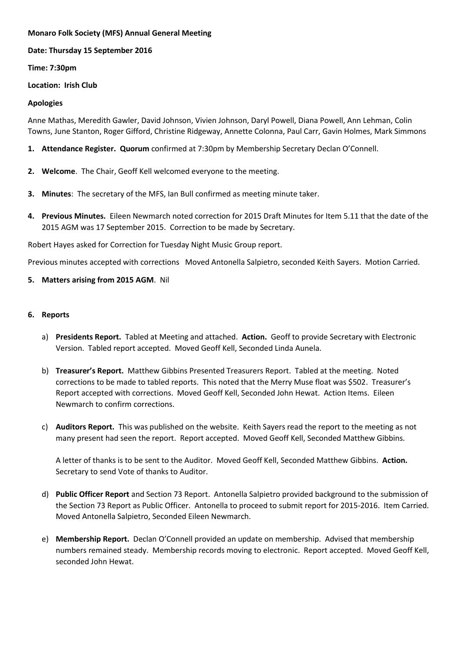## **Monaro Folk Society (MFS) Annual General Meeting**

**Date: Thursday 15 September 2016**

**Time: 7:30pm**

## **Location: Irish Club**

## **Apologies**

Anne Mathas, Meredith Gawler, David Johnson, Vivien Johnson, Daryl Powell, Diana Powell, Ann Lehman, Colin Towns, June Stanton, Roger Gifford, Christine Ridgeway, Annette Colonna, Paul Carr, Gavin Holmes, Mark Simmons

- **1. Attendance Register. Quorum** confirmed at 7:30pm by Membership Secretary Declan O'Connell.
- **2. Welcome**. The Chair, Geoff Kell welcomed everyone to the meeting.
- **3. Minutes**: The secretary of the MFS, Ian Bull confirmed as meeting minute taker.
- **4. Previous Minutes.** Eileen Newmarch noted correction for 2015 Draft Minutes for Item 5.11 that the date of the 2015 AGM was 17 September 2015. Correction to be made by Secretary.

Robert Hayes asked for Correction for Tuesday Night Music Group report.

Previous minutes accepted with corrections Moved Antonella Salpietro, seconded Keith Sayers. Motion Carried.

**5. Matters arising from 2015 AGM**. Nil

## **6. Reports**

- a) **Presidents Report.** Tabled at Meeting and attached. **Action.** Geoff to provide Secretary with Electronic Version. Tabled report accepted. Moved Geoff Kell, Seconded Linda Aunela.
- b) **Treasurer's Report.** Matthew Gibbins Presented Treasurers Report. Tabled at the meeting. Noted corrections to be made to tabled reports. This noted that the Merry Muse float was \$502. Treasurer's Report accepted with corrections. Moved Geoff Kell, Seconded John Hewat. Action Items. Eileen Newmarch to confirm corrections.
- c) **Auditors Report.** This was published on the website. Keith Sayers read the report to the meeting as not many present had seen the report. Report accepted. Moved Geoff Kell, Seconded Matthew Gibbins.

A letter of thanks is to be sent to the Auditor. Moved Geoff Kell, Seconded Matthew Gibbins. **Action.** Secretary to send Vote of thanks to Auditor.

- d) **Public Officer Report** and Section 73 Report. Antonella Salpietro provided background to the submission of the Section 73 Report as Public Officer. Antonella to proceed to submit report for 2015-2016. Item Carried. Moved Antonella Salpietro, Seconded Eileen Newmarch.
- e) **Membership Report.** Declan O'Connell provided an update on membership. Advised that membership numbers remained steady. Membership records moving to electronic. Report accepted. Moved Geoff Kell, seconded John Hewat.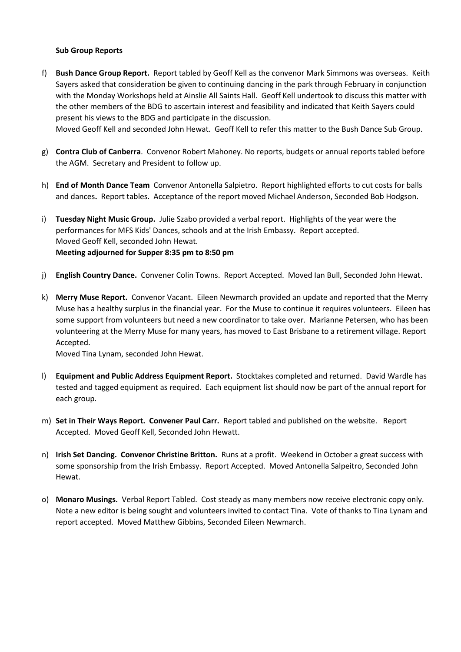#### **Sub Group Reports**

f) **Bush Dance Group Report.** Report tabled by Geoff Kell as the convenor Mark Simmons was overseas. Keith Sayers asked that consideration be given to continuing dancing in the park through February in conjunction with the Monday Workshops held at Ainslie All Saints Hall. Geoff Kell undertook to discuss this matter with the other members of the BDG to ascertain interest and feasibility and indicated that Keith Sayers could present his views to the BDG and participate in the discussion.

Moved Geoff Kell and seconded John Hewat. Geoff Kell to refer this matter to the Bush Dance Sub Group.

- g) **Contra Club of Canberra**. Convenor Robert Mahoney. No reports, budgets or annual reports tabled before the AGM. Secretary and President to follow up.
- h) **End of Month Dance Team** Convenor Antonella Salpietro. Report highlighted efforts to cut costs for balls and dances**.** Report tables. Acceptance of the report moved Michael Anderson, Seconded Bob Hodgson.
- i) **Tuesday Night Music Group.** Julie Szabo provided a verbal report. Highlights of the year were the performances for MFS Kids' Dances, schools and at the Irish Embassy. Report accepted. Moved Geoff Kell, seconded John Hewat. **Meeting adjourned for Supper 8:35 pm to 8:50 pm**
- j) **English Country Dance.** Convener Colin Towns. Report Accepted. Moved Ian Bull, Seconded John Hewat.
- k) **Merry Muse Report.** Convenor Vacant. Eileen Newmarch provided an update and reported that the Merry Muse has a healthy surplus in the financial year. For the Muse to continue it requires volunteers. Eileen has some support from volunteers but need a new coordinator to take over. Marianne Petersen, who has been volunteering at the Merry Muse for many years, has moved to East Brisbane to a retirement village. Report Accepted.

Moved Tina Lynam, seconded John Hewat.

- l) **Equipment and Public Address Equipment Report.** Stocktakes completed and returned. David Wardle has tested and tagged equipment as required. Each equipment list should now be part of the annual report for each group.
- m) **Set in Their Ways Report. Convener Paul Carr.** Report tabled and published on the website. Report Accepted. Moved Geoff Kell, Seconded John Hewatt.
- n) **Irish Set Dancing. Convenor Christine Britton.** Runs at a profit. Weekend in October a great success with some sponsorship from the Irish Embassy. Report Accepted. Moved Antonella Salpeitro, Seconded John Hewat.
- o) **Monaro Musings.** Verbal Report Tabled. Cost steady as many members now receive electronic copy only. Note a new editor is being sought and volunteers invited to contact Tina. Vote of thanks to Tina Lynam and report accepted. Moved Matthew Gibbins, Seconded Eileen Newmarch.